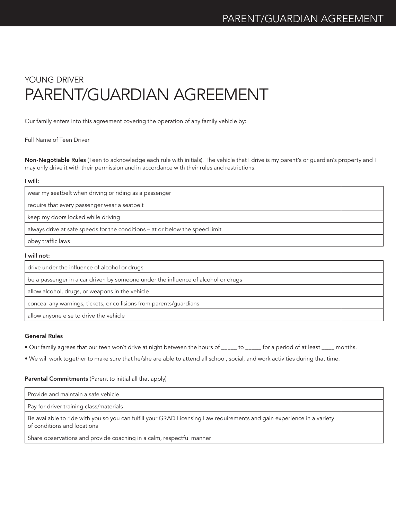# YOUNG DRIVER PARENT/GUARDIAN AGREEMENT

Our family enters into this agreement covering the operation of any family vehicle by:

## Full Name of Teen Driver

Non-Negotiable Rules (Teen to acknowledge each rule with initials). The vehicle that I drive is my parent's or guardian's property and I may only drive it with their permission and in accordance with their rules and restrictions.

#### I will:

| wear my seatbelt when driving or riding as a passenger                       |  |
|------------------------------------------------------------------------------|--|
| require that every passenger wear a seatbelt                                 |  |
| keep my doors locked while driving                                           |  |
| always drive at safe speeds for the conditions – at or below the speed limit |  |
| obey traffic laws                                                            |  |

#### I will not:

| drive under the influence of alcohol or drugs                                     |  |
|-----------------------------------------------------------------------------------|--|
| be a passenger in a car driven by someone under the influence of alcohol or drugs |  |
| allow alcohol, drugs, or weapons in the vehicle                                   |  |
| conceal any warnings, tickets, or collisions from parents/guardians               |  |
| allow anyone else to drive the vehicle                                            |  |

#### General Rules

• Our family agrees that our teen won't drive at night between the hours of \_\_\_\_\_ to \_\_\_\_\_ for a period of at least \_\_\_\_ months.

• We will work together to make sure that he/she are able to attend all school, social, and work activities during that time.

### Parental Commitments (Parent to initial all that apply)

| Provide and maintain a safe vehicle                                                                                                                   |  |
|-------------------------------------------------------------------------------------------------------------------------------------------------------|--|
| Pay for driver training class/materials                                                                                                               |  |
| Be available to ride with you so you can fulfill your GRAD Licensing Law requirements and gain experience in a variety<br>of conditions and locations |  |
| Share observations and provide coaching in a calm, respectful manner                                                                                  |  |